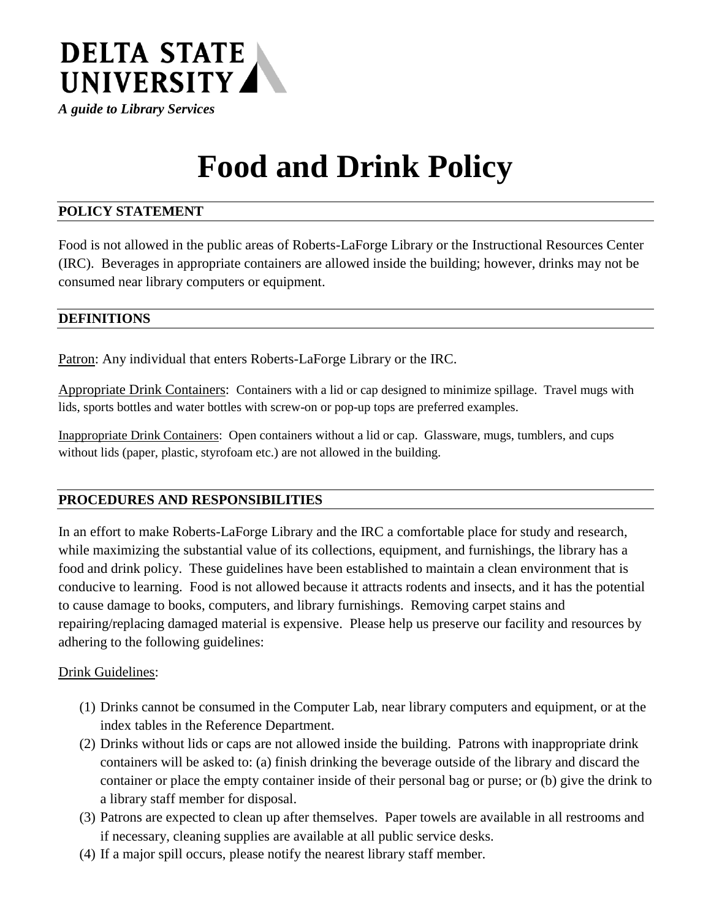

*A guide to Library Services*

# **Food and Drink Policy**

## **POLICY STATEMENT**

Food is not allowed in the public areas of Roberts-LaForge Library or the Instructional Resources Center (IRC). Beverages in appropriate containers are allowed inside the building; however, drinks may not be consumed near library computers or equipment.

## **DEFINITIONS**

Patron: Any individual that enters Roberts-LaForge Library or the IRC.

Appropriate Drink Containers: Containers with a lid or cap designed to minimize spillage. Travel mugs with lids, sports bottles and water bottles with screw-on or pop-up tops are preferred examples.

Inappropriate Drink Containers: Open containers without a lid or cap. Glassware, mugs, tumblers, and cups without lids (paper, plastic, styrofoam etc.) are not allowed in the building.

## **PROCEDURES AND RESPONSIBILITIES**

In an effort to make Roberts-LaForge Library and the IRC a comfortable place for study and research, while maximizing the substantial value of its collections, equipment, and furnishings, the library has a food and drink policy. These guidelines have been established to maintain a clean environment that is conducive to learning. Food is not allowed because it attracts rodents and insects, and it has the potential to cause damage to books, computers, and library furnishings. Removing carpet stains and repairing/replacing damaged material is expensive. Please help us preserve our facility and resources by adhering to the following guidelines:

#### Drink Guidelines:

- (1) Drinks cannot be consumed in the Computer Lab, near library computers and equipment, or at the index tables in the Reference Department.
- (2) Drinks without lids or caps are not allowed inside the building. Patrons with inappropriate drink containers will be asked to: (a) finish drinking the beverage outside of the library and discard the container or place the empty container inside of their personal bag or purse; or (b) give the drink to a library staff member for disposal.
- (3) Patrons are expected to clean up after themselves. Paper towels are available in all restrooms and if necessary, cleaning supplies are available at all public service desks.
- (4) If a major spill occurs, please notify the nearest library staff member.